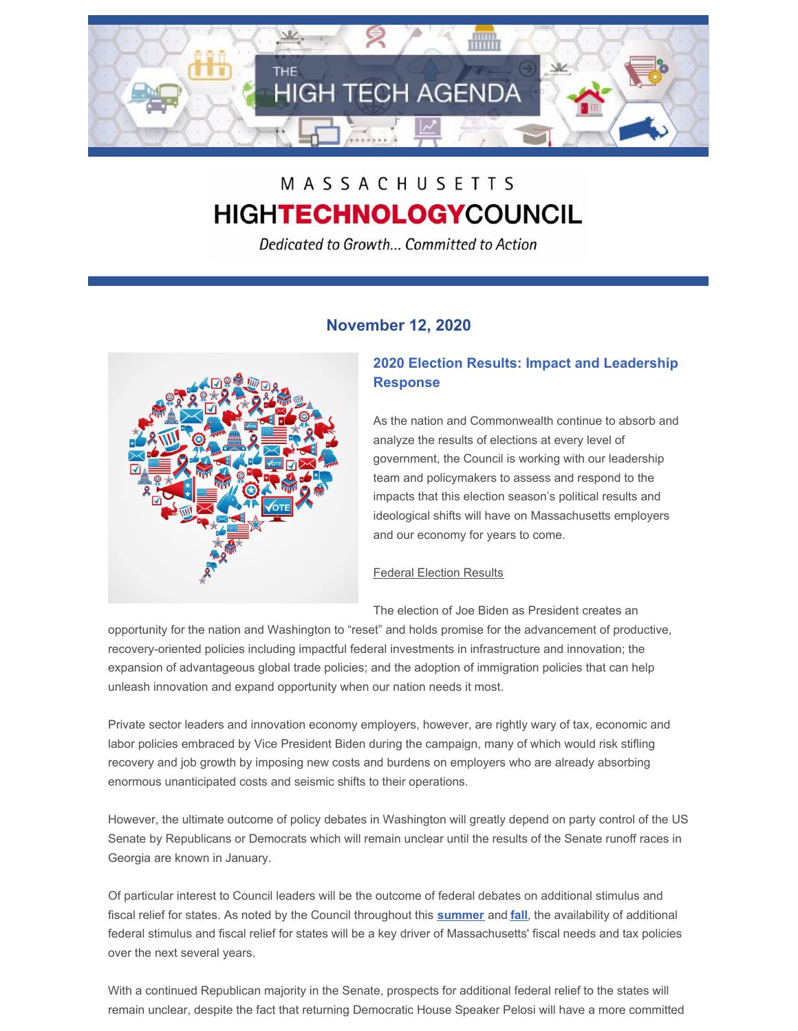

# MASSACHUSETTS **HIGHTECHNOLOGYCOUNCIL**

Dedicated to Growth... Committed to Action

# **November 12, 2020**



# **2020 Election Results: Impact and Leadership Response**

As the nation and Commonwealth continue to absorb and analyze the results of elections at every level of government, the Council is working with our leadership team and policymakers to assess and respond to the impacts that this election season's political results and ideological shifts will have on Massachusetts employers and our economy for years to come.

## **Federal Election Results**

The election of Joe Biden as President creates an

opportunity for the nation and Washington to "reset" and holds promise for the advancement of productive, recovery-oriented policies including impactful federal investments in infrastructure and innovation; the expansion of advantageous global trade policies; and the adoption of immigration policies that can help unleash innovation and expand opportunity when our nation needs it most.

Private sector leaders and innovation economy employers, however, are rightly wary of tax, economic and labor policies embraced by Vice President Biden during the campaign, many of which would risk stifling recovery and job growth by imposing new costs and burdens on employers who are already absorbing enormous unanticipated costs and seismic shifts to their operations.

However, the ultimate outcome of policy debates in Washington will greatly depend on party control of the US Senate by Republicans or Democrats which will remain unclear until the results of the Senate runoff races in Georgia are known in January.

Of particular interest to Council leaders will be the outcome of federal debates on additional stimulus and fiscal relief for states. As noted by the Council throughout this **[summer](http://www.mhtc.org/wp-content/uploads/2020/08/Presidents-Bulletin-Restoring-a-Competitive-Mass.-Economy-8.17.20.pdf)** and **[fall](http://www.mhtc.org/wp-content/uploads/2020/10/Public-Policy-Update-10.8.20.pdf)**, the availability of additional federal stimulus and fiscal relief for states will be a key driver of Massachusetts' fiscal needs and tax policies over the next several years.

With a continued Republican majority in the Senate, prospects for additional federal relief to the states will remain unclear, despite the fact that returning Democratic House Speaker Pelosi will have a more committed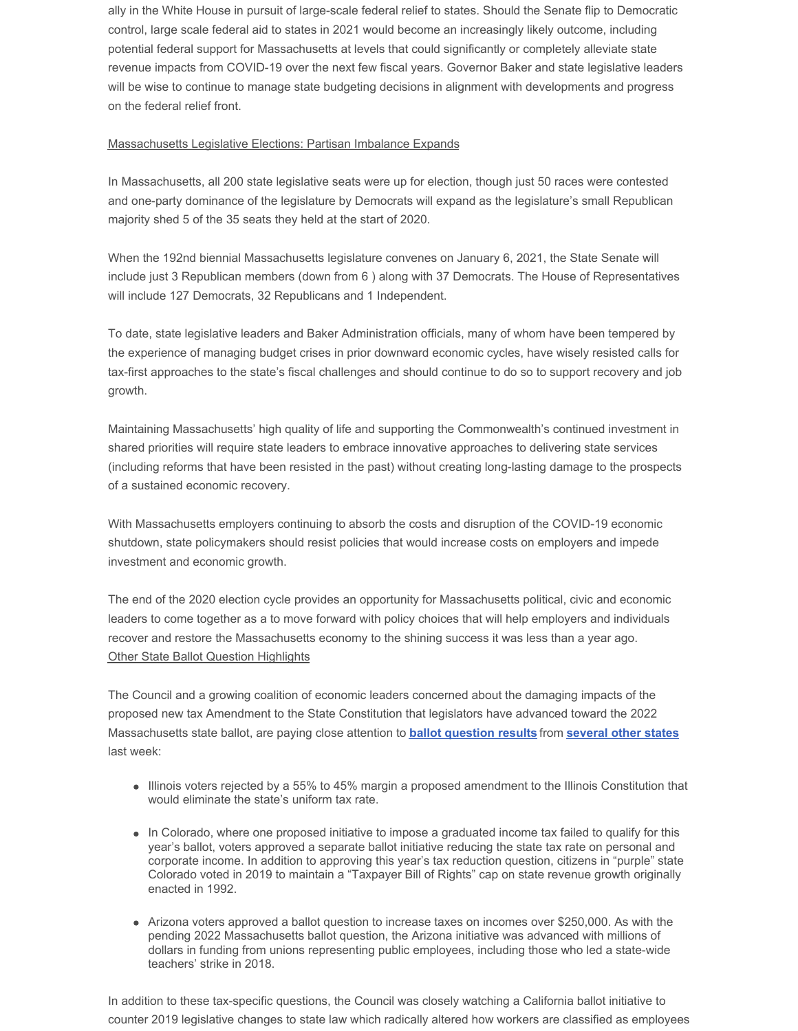ally in the White House in pursuit of large-scale federal relief to states. Should the Senate flip to Democratic control, large scale federal aid to states in 2021 would become an increasingly likely outcome, including potential federal support for Massachusetts at levels that could significantly or completely alleviate state revenue impacts from COVID-19 over the next few fiscal years. Governor Baker and state legislative leaders will be wise to continue to manage state budgeting decisions in alignment with developments and progress on the federal relief front.

#### Massachusetts Legislative Elections: Partisan Imbalance Expands

In Massachusetts, all 200 state legislative seats were up for election, though just 50 races were contested and one-party dominance of the legislature by Democrats will expand as the legislature's small Republican majority shed 5 of the 35 seats they held at the start of 2020.

When the 192nd biennial Massachusetts legislature convenes on January 6, 2021, the State Senate will include just 3 Republican members (down from 6 ) along with 37 Democrats. The House of Representatives will include 127 Democrats, 32 Republicans and 1 Independent.

To date, state legislative leaders and Baker Administration officials, many of whom have been tempered by the experience of managing budget crises in prior downward economic cycles, have wisely resisted calls for tax-first approaches to the state's fiscal challenges and should continue to do so to support recovery and job growth.

Maintaining Massachusetts' high quality of life and supporting the Commonwealth's continued investment in shared priorities will require state leaders to embrace innovative approaches to delivering state services (including reforms that have been resisted in the past) without creating long-lasting damage to the prospects of a sustained economic recovery.

With Massachusetts employers continuing to absorb the costs and disruption of the COVID-19 economic shutdown, state policymakers should resist policies that would increase costs on employers and impede investment and economic growth.

The end of the 2020 election cycle provides an opportunity for Massachusetts political, civic and economic leaders to come together as a to move forward with policy choices that will help employers and individuals recover and restore the Massachusetts economy to the shining success it was less than a year ago. **Other State Ballot Question Highlights** 

The Council and a growing coalition of economic leaders concerned about the damaging impacts of the proposed new tax Amendment to the State Constitution that legislators have advanced toward the 2022 Massachusetts state ballot, are paying close attention to **ballot [question](https://taxfoundation.org/2020-ballot-measure-election-results/?utm_source=Tax+Foundation+Newsletters&utm_campaign=30ebdfd655-RSS_EMAIL_CAMPAIGN&utm_medium=email&utm_term=0_8387957ec9-30ebdfd655-429448701&mc_cid=30ebdfd655&mc_eid=533069290b) results** from **[several](http://www.mhtc.org/wp-content/uploads/2020/11/WSJ-Voters-Mostly-Reject-Tax-Hikes-11.8.20.pdf) other states** last week:

- Illinois voters rejected by a 55% to 45% margin a proposed amendment to the Illinois Constitution that would eliminate the state's uniform tax rate.
- In Colorado, where one proposed initiative to impose a graduated income tax failed to qualify for this year's ballot, voters approved a separate ballot initiative reducing the state tax rate on personal and corporate income. In addition to approving this year's tax reduction question, citizens in "purple" state Colorado voted in 2019 to maintain a "Taxpayer Bill of Rights" cap on state revenue growth originally enacted in 1992.
- Arizona voters approved a ballot question to increase taxes on incomes over \$250,000. As with the pending 2022 Massachusetts ballot question, the Arizona initiative was advanced with millions of dollars in funding from unions representing public employees, including those who led a state-wide teachers' strike in 2018.

In addition to these tax-specific questions, the Council was closely watching a California ballot initiative to counter 2019 legislative changes to state law which radically altered how workers are classified as employees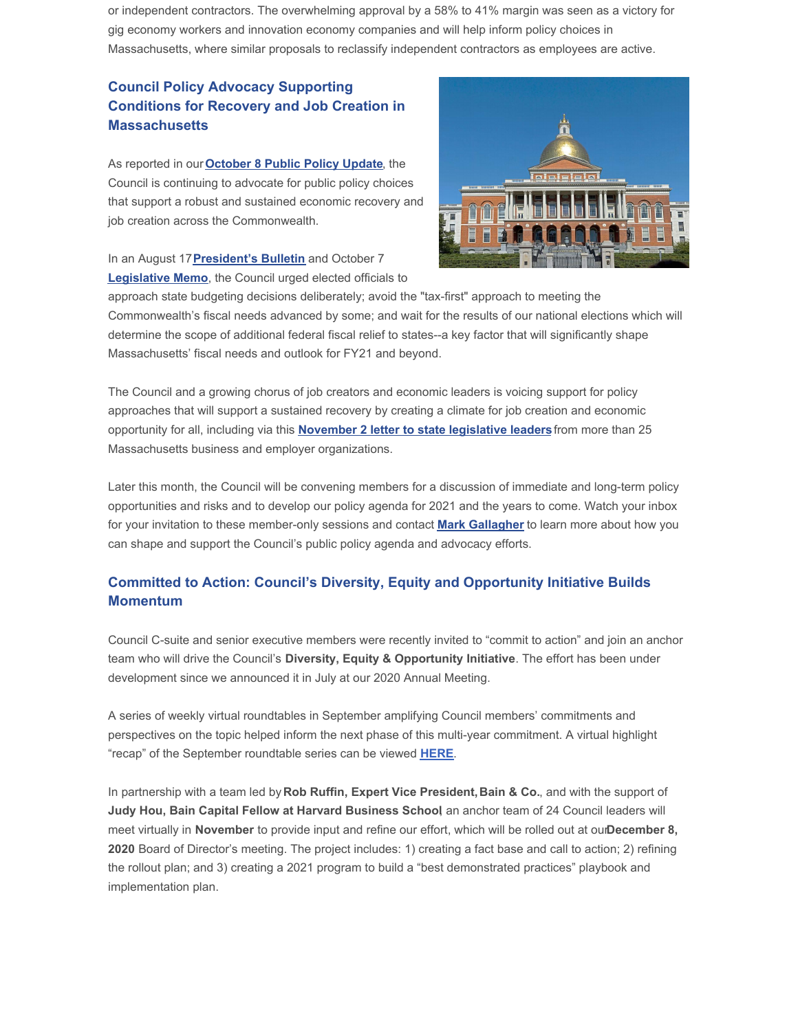or independent contractors. The overwhelming approval by a 58% to 41% margin was seen as a victory for gig economy workers and innovation economy companies and will help inform policy choices in Massachusetts, where similar proposals to reclassify independent contractors as employees are active.

# **Council Policy Advocacy Supporting Conditions for Recovery and Job Creation in Massachusetts**

As reported in our**[October](http://www.mhtc.org/wp-content/uploads/2020/10/Public-Policy-Update-10.8.20.pdf) 8 Public Policy Update**, the Council is continuing to advocate for public policy choices that support a robust and sustained economic recovery and job creation across the Commonwealth.



In an August 17**[President's](http://www.mhtc.org/wp-content/uploads/2020/08/Presidents-Bulletin-Restoring-a-Competitive-Mass.-Economy-8.17.20.pdf) Bulletin** and October 7 **[Legislative](http://www.mhtc.org/wp-content/uploads/2020/10/Memo-to-ANF-SWM-HWM-re-Fiscal-and-Econ.-Outlook-10.7.20.pdf) Memo**, the Council urged elected officials to

approach state budgeting decisions deliberately; avoid the "tax-first" approach to meeting the Commonwealth's fiscal needs advanced by some; and wait for the results of our national elections which will determine the scope of additional federal fiscal relief to states--a key factor that will significantly shape Massachusetts' fiscal needs and outlook for FY21 and beyond.

The Council and a growing chorus of job creators and economic leaders is voicing support for policy approaches that will support a sustained recovery by creating a climate for job creation and economic opportunity for all, including via this **[November](http://www.mhtc.org/wp-content/uploads/2020/11/Business-Group-Letter-on-Revenues-and-Recovery-11.2.20.pdf) 2 letter to state legislative leaders**from more than 25 Massachusetts business and employer organizations.

Later this month, the Council will be convening members for a discussion of immediate and long-term policy opportunities and risks and to develop our policy agenda for 2021 and the years to come. Watch your inbox for your invitation to these member-only sessions and contact **Mark [Gallagher](mailto:mark@mhtc.org)** to learn more about how you can shape and support the Council's public policy agenda and advocacy efforts.

# **Committed to Action: Council's Diversity, Equity and [Opportunity](https://em-ui.constantcontact.com/em-ui/em/page/em-ui/email#) Initiative Builds Momentum**

Council C-suite and senior executive members were recently invited to "commit to action" and join an anchor team who will drive the Council's **Diversity, Equity & Opportunity Initiative**. The effort has been under development since we announced it in July at our 2020 Annual Meeting.

A series of weekly virtual roundtables in September amplifying Council members' commitments and perspectives on the topic helped inform the next phase of this multi-year commitment. A virtual highlight "recap" of the September roundtable series can be viewed **[HERE](https://vimeo.com/464425117)**.

In partnership with a team led by **Rob Ruffin, Expert Vice President,Bain & Co.**, and with the support of **Judy Hou, Bain Capital Fellow at Harvard Business School**, an anchor team of 24 Council leaders will meet virtually in **November** to provide input and refine our effort, which will be rolled out at our**December 8, 2020** Board of Director's meeting. The project includes: 1) creating a fact base and call to action; 2) refining the rollout plan; and 3) creating a 2021 program to build a "best demonstrated practices" playbook and implementation plan.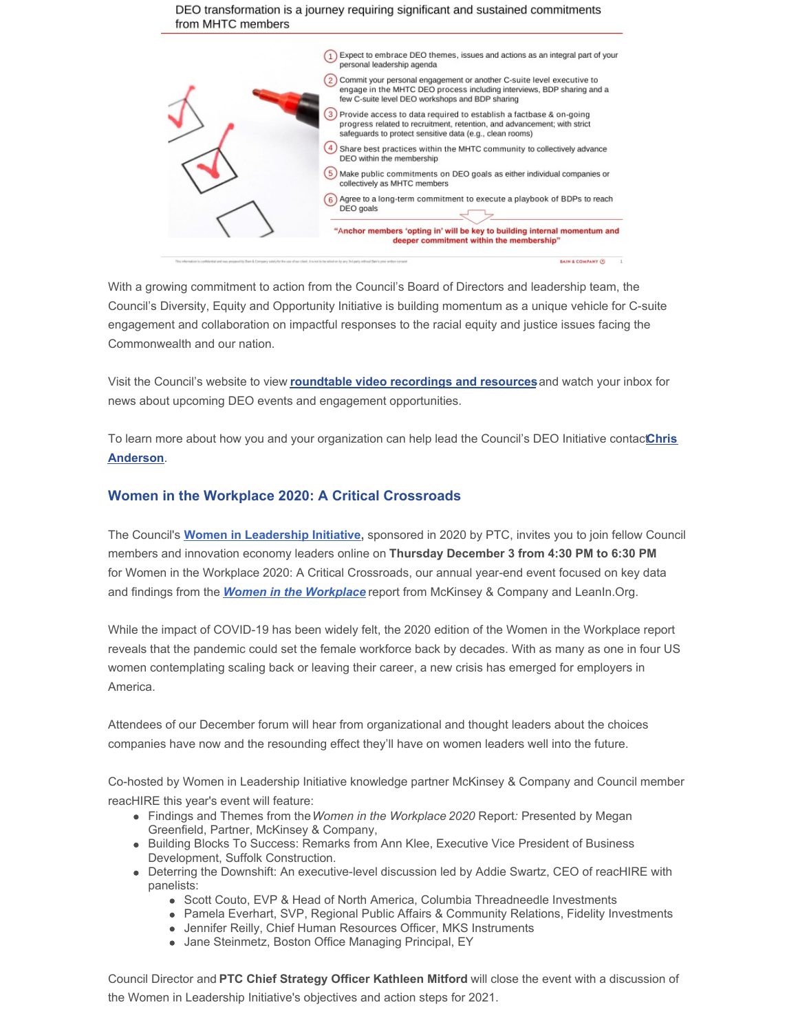#### DEO transformation is a journey requiring significant and sustained commitments from MHTC members



With a growing commitment to action from the Council's Board of Directors and leadership team, the Council's Diversity, Equity and Opportunity Initiative is building momentum as a unique vehicle for C-suite engagement and collaboration on impactful responses to the racial equity and justice issues facing the Commonwealth and our nation.

Visit the Council's website to view **roundtable video [recordings](http://www.mhtc.org/events/program-policy-roundtable-events/) and resources**and watch your inbox for news about upcoming DEO events and engagement opportunities.

To learn more about how you and your [organization](mailto:chris@mhtc.org) can help lead the Council's DEO Initiative contactChris **Anderson**.

#### **Women in the Workplace 2020: A Critical Crossroads**

The Council's **Women in [Leadership](http://www.mhtc.org/advocacy/women-in-leadership/) Initiative**, sponsored in 2020 by PTC, invites you to join fellow Council members and innovation economy leaders online on **Thursday December 3 from 4:30 PM to 6:30 PM** for Women in the Workplace 2020: A Critical Crossroads, our annual year-end event focused on key data and findings from the *Women in the [Workplace](https://www.mckinsey.com/featured-insights/diversity-and-inclusion/women-in-the-workplace)* report from McKinsey & Company and LeanIn.Org.

While the impact of COVID-19 has been widely felt, the 2020 edition of the Women in the Workplace report reveals that the pandemic could set the female workforce back by decades. With as many as one in four US women contemplating scaling back or leaving their career, a new crisis has emerged for employers in America.

Attendees of our December forum will hear from organizational and thought leaders about the choices companies have now and the resounding effect they'll have on women leaders well into the future.

Co-hosted by Women in Leadership Initiative knowledge partner McKinsey & Company and Council member reacHIRE this year's event will feature:

- Findings and Themes from the*Women in the Workplace 2020* Report*:* Presented by Megan Greenfield, Partner, McKinsey & Company,
- Building Blocks To Success: Remarks from Ann Klee, Executive Vice President of Business Development, Suffolk Construction.
- Deterring the Downshift: An executive-level discussion led by Addie Swartz, CEO of reacHIRE with panelists:
	- Scott Couto, EVP & Head of North America, Columbia Threadneedle Investments
	- Pamela Everhart, SVP, Regional Public Affairs & Community Relations, Fidelity Investments
	- Jennifer Reilly, Chief Human Resources Officer, MKS Instruments
	- Jane Steinmetz, Boston Office Managing Principal, EY

Council Director and **PTC Chief Strategy Officer Kathleen Mitford** will close the event with a discussion of the Women in Leadership Initiative's objectives and action steps for 2021.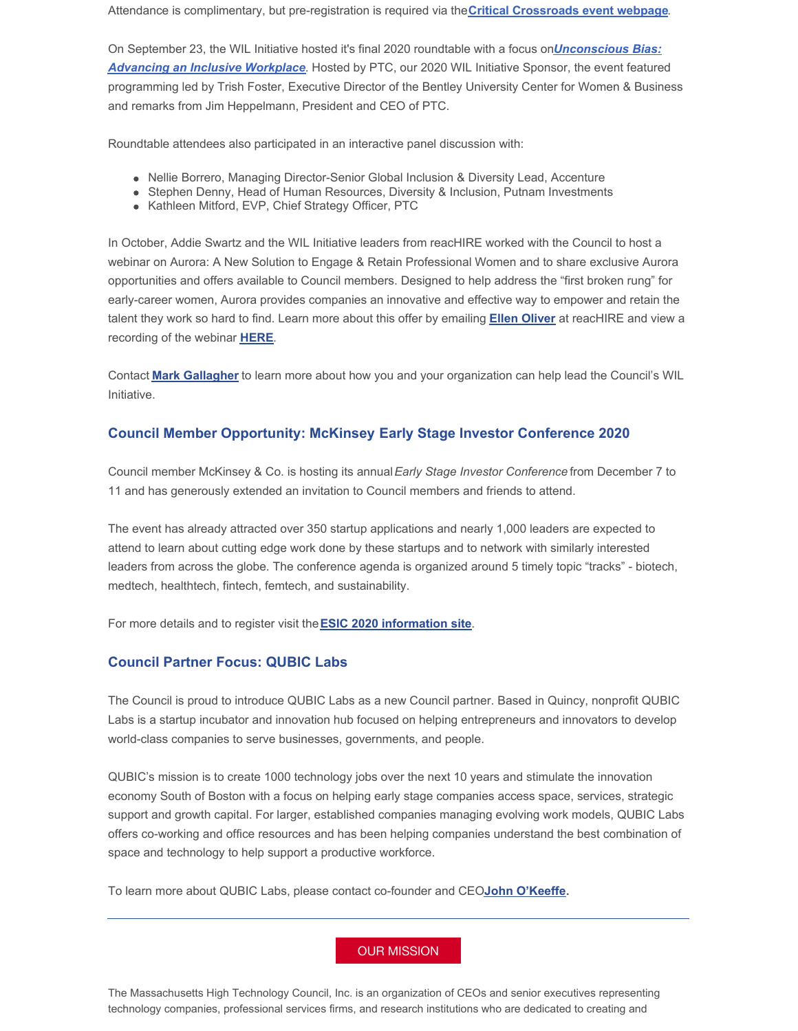Attendance is complimentary, but pre-registration is required via the**Critical [Crossroads](https://link.edgepilot.com/s/27db0e59/xz1UpNJWXES7ylKdBTUjMw?u=https://www.eventbrite.com/e/women-in-leadership-critical-crossroads-tickets-128205709729?aff=MHTCemail) event webpage**.

On September 23, the WIL Initiative hosted it's final 2020 roundtable with a focus on*[Unconscious](https://vimeo.com/461517212) Bias: Advancing an Inclusive Workplace*. Hosted by PTC, our 2020 WIL Initiative Sponsor, the event featured programming led by Trish Foster, Executive Director of the Bentley University Center for Women & Business and remarks from Jim Heppelmann, President and CEO of PTC.

Roundtable attendees also participated in an interactive panel discussion with:

- Nellie Borrero, Managing Director-Senior Global Inclusion & Diversity Lead, Accenture
- Stephen Denny, Head of Human Resources, Diversity & Inclusion, Putnam Investments
- Kathleen Mitford, EVP, Chief Strategy Officer, PTC

In October, Addie Swartz and the WIL Initiative leaders from reacHIRE worked with the Council to host a webinar on Aurora: A New Solution to Engage & Retain Professional Women and to share exclusive Aurora opportunities and offers available to Council members. Designed to help address the "first broken rung" for early-career women, Aurora provides companies an innovative and effective way to empower and retain the talent they work so hard to find. Learn more about this offer by emailing **Ellen [Oliver](mailto:eoliver@reachire.com)** at reacHIRE and view a recording of the webinar **[HERE](https://www.reachire.com/aurora/mhtc-aurora/)**.

Contact **Mark [Gallagher](mailto:mark@mhtc.org)** to learn more about how you and your organization can help lead the Council's WIL Initiative.

#### **Council Member Opportunity: McKinsey Early Stage Investor Conference 2020**

Council member McKinsey & Co. is hosting its annual*Early Stage Investor Conference* from December 7 to 11 and has generously extended an invitation to Council members and friends to attend.

The event has already attracted over 350 startup applications and nearly 1,000 leaders are expected to attend to learn about cutting edge work done by these startups and to network with similarly interested leaders from across the globe. The conference agenda is organized around 5 timely topic "tracks" - biotech, medtech, healthtech, fintech, femtech, and sustainability.

For more details and to register visit the**ESIC 2020 [information](https://www.mckinsey.com/features/early-stage-investor-conference/overview) site**.

## **Council Partner Focus: QUBIC Labs**

The Council is proud to introduce QUBIC Labs as a new Council partner. Based in Quincy, nonprofit QUBIC Labs is a startup incubator and innovation hub focused on helping entrepreneurs and innovators to develop world-class companies to serve businesses, governments, and people.

QUBIC's mission is to create 1000 technology jobs over the next 10 years and stimulate the innovation economy South of Boston with a focus on helping early stage companies access space, services, strategic support and growth capital. For larger, established companies managing evolving work models, QUBIC Labs offers co-working and office resources and has been helping companies understand the best combination of space and technology to help support a productive workforce.

To learn more about QUBIC Labs, please contact co-founder and CEO**John [O'Keeffe](mailto:john@qubiclabs.com)**.

### **OUR MISSION**

The Massachusetts High Technology Council, Inc. is an organization of CEOs and senior executives representing technology companies, professional services firms, and research institutions who are dedicated to creating and